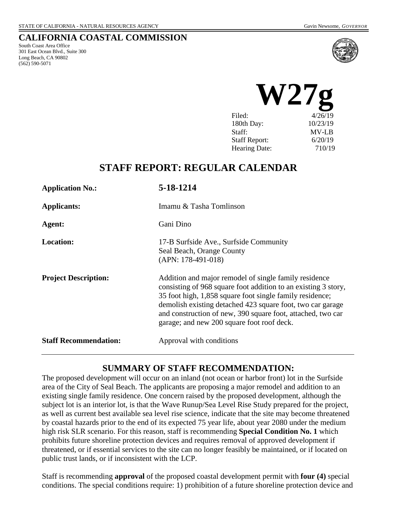### **CALIFORNIA COASTAL COMMISSION**

South Coast Area Office 301 East Ocean Blvd., Suite 300 Long Beach, CA 90802 (562) 590-5071



| Filed:               | 4/26/19  |  |
|----------------------|----------|--|
| 180th Day:           | 10/23/19 |  |
| Staff:               | MV-LB    |  |
| <b>Staff Report:</b> | 6/20/19  |  |
| <b>Hearing Date:</b> | 710/19   |  |
|                      |          |  |

# **STAFF REPORT: REGULAR CALENDAR**

| <b>Application No.:</b>      | 5-18-1214                                                                                                                                                                                                                                                                                                                                                      |
|------------------------------|----------------------------------------------------------------------------------------------------------------------------------------------------------------------------------------------------------------------------------------------------------------------------------------------------------------------------------------------------------------|
| <b>Applicants:</b>           | Imamu & Tasha Tomlinson                                                                                                                                                                                                                                                                                                                                        |
| Agent:                       | Gani Dino                                                                                                                                                                                                                                                                                                                                                      |
| <b>Location:</b>             | 17-B Surfside Ave., Surfside Community<br>Seal Beach, Orange County<br>$(APN: 178-491-018)$                                                                                                                                                                                                                                                                    |
| <b>Project Description:</b>  | Addition and major remodel of single family residence<br>consisting of 968 square foot addition to an existing 3 story,<br>35 foot high, 1,858 square foot single family residence;<br>demolish existing detached 423 square foot, two car garage<br>and construction of new, 390 square foot, attached, two car<br>garage; and new 200 square foot roof deck. |
| <b>Staff Recommendation:</b> | Approval with conditions                                                                                                                                                                                                                                                                                                                                       |

### **SUMMARY OF STAFF RECOMMENDATION:**

The proposed development will occur on an inland (not ocean or harbor front) lot in the Surfside area of the City of Seal Beach. The applicants are proposing a major remodel and addition to an existing single family residence. One concern raised by the proposed development, although the subject lot is an interior lot, is that the Wave Runup/Sea Level Rise Study prepared for the project, as well as current best available sea level rise science, indicate that the site may become threatened by coastal hazards prior to the end of its expected 75 year life, about year 2080 under the medium high risk SLR scenario. For this reason, staff is recommending **Special Condition No. 1** which prohibits future shoreline protection devices and requires removal of approved development if threatened, or if essential services to the site can no longer feasibly be maintained, or if located on public trust lands, or if inconsistent with the LCP.

Staff is recommending **approval** of the proposed coastal development permit with **four (4)** special conditions. The special conditions require: 1) prohibition of a future shoreline protection device and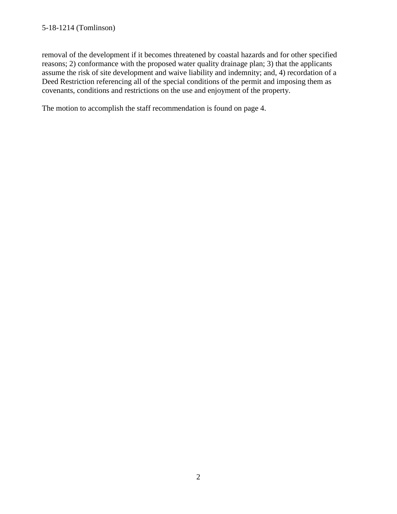#### 5-18-1214 (Tomlinson)

removal of the development if it becomes threatened by coastal hazards and for other specified reasons; 2) conformance with the proposed water quality drainage plan; 3) that the applicants assume the risk of site development and waive liability and indemnity; and, 4) recordation of a Deed Restriction referencing all of the special conditions of the permit and imposing them as covenants, conditions and restrictions on the use and enjoyment of the property.

The motion to accomplish the staff recommendation is found on page 4.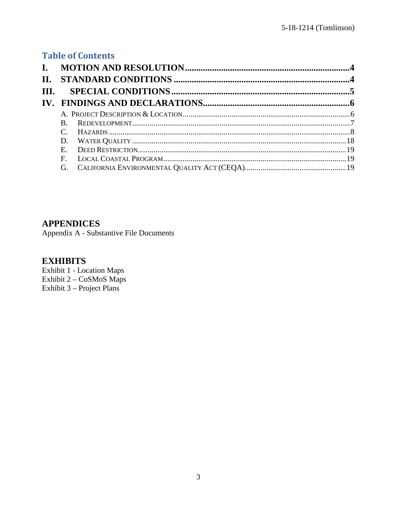# **Table of Contents**

| <b>II.</b> |              |  |
|------------|--------------|--|
| III.       |              |  |
|            |              |  |
|            |              |  |
|            |              |  |
|            |              |  |
|            | D.           |  |
|            | $E_{\rm{c}}$ |  |
|            | F            |  |
|            | G.           |  |

## **APPENDICES**

Appendix A - Substantive File Documents

# **EXHIBITS**

**Exhibit 1 - Location Maps** Exhibit 2 - CoSMoS Maps Exhibit 3 – Project Plans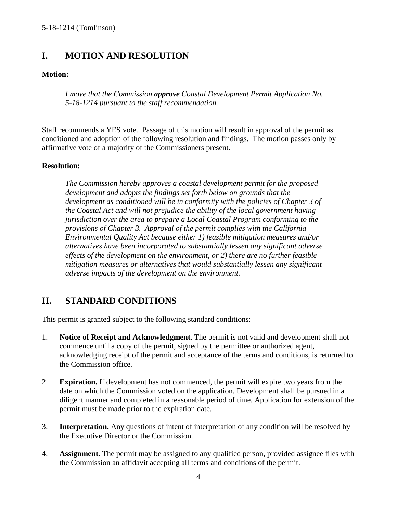# <span id="page-3-0"></span>**I. MOTION AND RESOLUTION**

### **Motion:**

*I move that the Commission approve Coastal Development Permit Application No. 5-18-1214 pursuant to the staff recommendation.*

Staff recommends a YES vote. Passage of this motion will result in approval of the permit as conditioned and adoption of the following resolution and findings. The motion passes only by affirmative vote of a majority of the Commissioners present.

#### **Resolution:**

*The Commission hereby approves a coastal development permit for the proposed development and adopts the findings set forth below on grounds that the development as conditioned will be in conformity with the policies of Chapter 3 of the Coastal Act and will not prejudice the ability of the local government having jurisdiction over the area to prepare a Local Coastal Program conforming to the provisions of Chapter 3. Approval of the permit complies with the California Environmental Quality Act because either 1) feasible mitigation measures and/or alternatives have been incorporated to substantially lessen any significant adverse effects of the development on the environment, or 2) there are no further feasible mitigation measures or alternatives that would substantially lessen any significant adverse impacts of the development on the environment.* 

# <span id="page-3-1"></span>**II. STANDARD CONDITIONS**

This permit is granted subject to the following standard conditions:

- 1. **Notice of Receipt and Acknowledgment**. The permit is not valid and development shall not commence until a copy of the permit, signed by the permittee or authorized agent, acknowledging receipt of the permit and acceptance of the terms and conditions, is returned to the Commission office.
- 2. **Expiration.** If development has not commenced, the permit will expire two years from the date on which the Commission voted on the application. Development shall be pursued in a diligent manner and completed in a reasonable period of time. Application for extension of the permit must be made prior to the expiration date.
- 3. **Interpretation.** Any questions of intent of interpretation of any condition will be resolved by the Executive Director or the Commission.
- 4. **Assignment.** The permit may be assigned to any qualified person, provided assignee files with the Commission an affidavit accepting all terms and conditions of the permit.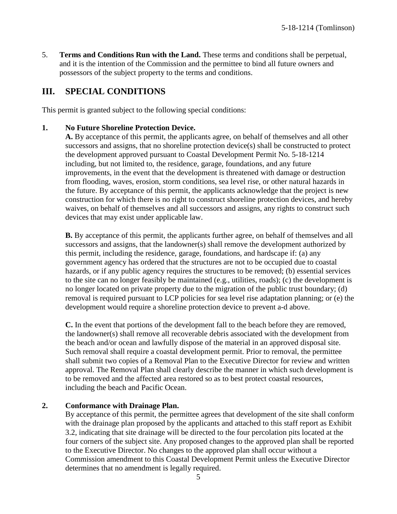5. **Terms and Conditions Run with the Land.** These terms and conditions shall be perpetual, and it is the intention of the Commission and the permittee to bind all future owners and possessors of the subject property to the terms and conditions.

## <span id="page-4-0"></span>**III. SPECIAL CONDITIONS**

This permit is granted subject to the following special conditions:

#### **1. No Future Shoreline Protection Device.**

**A.** By acceptance of this permit, the applicants agree, on behalf of themselves and all other successors and assigns, that no shoreline protection device(s) shall be constructed to protect the development approved pursuant to Coastal Development Permit No. 5-18-1214 including, but not limited to, the residence, garage, foundations, and any future improvements, in the event that the development is threatened with damage or destruction from flooding, waves, erosion, storm conditions, sea level rise, or other natural hazards in the future. By acceptance of this permit, the applicants acknowledge that the project is new construction for which there is no right to construct shoreline protection devices, and hereby waives, on behalf of themselves and all successors and assigns, any rights to construct such devices that may exist under applicable law.

**B.** By acceptance of this permit, the applicants further agree, on behalf of themselves and all successors and assigns, that the landowner(s) shall remove the development authorized by this permit, including the residence, garage, foundations, and hardscape if: (a) any government agency has ordered that the structures are not to be occupied due to coastal hazards, or if any public agency requires the structures to be removed; (b) essential services to the site can no longer feasibly be maintained (e.g., utilities, roads); (c) the development is no longer located on private property due to the migration of the public trust boundary; (d) removal is required pursuant to LCP policies for sea level rise adaptation planning; or (e) the development would require a shoreline protection device to prevent a-d above.

**C.** In the event that portions of the development fall to the beach before they are removed, the landowner(s) shall remove all recoverable debris associated with the development from the beach and/or ocean and lawfully dispose of the material in an approved disposal site. Such removal shall require a coastal development permit. Prior to removal, the permittee shall submit two copies of a Removal Plan to the Executive Director for review and written approval. The Removal Plan shall clearly describe the manner in which such development is to be removed and the affected area restored so as to best protect coastal resources, including the beach and Pacific Ocean.

#### **2. Conformance with Drainage Plan.**

By acceptance of this permit, the permittee agrees that development of the site shall conform with the drainage plan proposed by the applicants and attached to this staff report as Exhibit 3.2, indicating that site drainage will be directed to the four percolation pits located at the four corners of the subject site. Any proposed changes to the approved plan shall be reported to the Executive Director. No changes to the approved plan shall occur without a Commission amendment to this Coastal Development Permit unless the Executive Director determines that no amendment is legally required.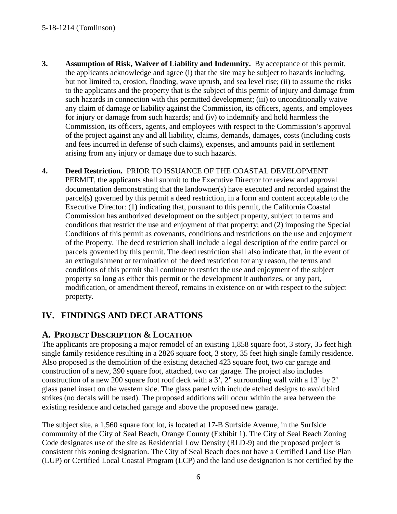- **3. Assumption of Risk, Waiver of Liability and Indemnity.** By acceptance of this permit, the applicants acknowledge and agree (i) that the site may be subject to hazards including, but not limited to, erosion, flooding, wave uprush, and sea level rise; (ii) to assume the risks to the applicants and the property that is the subject of this permit of injury and damage from such hazards in connection with this permitted development; (iii) to unconditionally waive any claim of damage or liability against the Commission, its officers, agents, and employees for injury or damage from such hazards; and (iv) to indemnify and hold harmless the Commission, its officers, agents, and employees with respect to the Commission's approval of the project against any and all liability, claims, demands, damages, costs (including costs and fees incurred in defense of such claims), expenses, and amounts paid in settlement arising from any injury or damage due to such hazards.
- **4. Deed Restriction.** PRIOR TO ISSUANCE OF THE COASTAL DEVELOPMENT PERMIT, the applicants shall submit to the Executive Director for review and approval documentation demonstrating that the landowner(s) have executed and recorded against the parcel(s) governed by this permit a deed restriction, in a form and content acceptable to the Executive Director: (1) indicating that, pursuant to this permit, the California Coastal Commission has authorized development on the subject property, subject to terms and conditions that restrict the use and enjoyment of that property; and (2) imposing the Special Conditions of this permit as covenants, conditions and restrictions on the use and enjoyment of the Property. The deed restriction shall include a legal description of the entire parcel or parcels governed by this permit. The deed restriction shall also indicate that, in the event of an extinguishment or termination of the deed restriction for any reason, the terms and conditions of this permit shall continue to restrict the use and enjoyment of the subject property so long as either this permit or the development it authorizes, or any part, modification, or amendment thereof, remains in existence on or with respect to the subject property.

# <span id="page-5-0"></span>**IV. FINDINGS AND DECLARATIONS**

## <span id="page-5-1"></span>**A. PROJECT DESCRIPTION & LOCATION**

The applicants are proposing a major remodel of an existing 1,858 square foot, 3 story, 35 feet high single family residence resulting in a 2826 square foot, 3 story, 35 feet high single family residence. Also proposed is the demolition of the existing detached 423 square foot, two car garage and construction of a new, 390 square foot, attached, two car garage. The project also includes construction of a new 200 square foot roof deck with a 3', 2" surrounding wall with a 13' by 2' glass panel insert on the western side. The glass panel with include etched designs to avoid bird strikes (no decals will be used). The proposed additions will occur within the area between the existing residence and detached garage and above the proposed new garage.

The subject site, a 1,560 square foot lot, is located at 17-B Surfside Avenue, in the Surfside community of the City of Seal Beach, Orange County (Exhibit 1). The City of Seal Beach Zoning Code designates use of the site as Residential Low Density (RLD-9) and the proposed project is consistent this zoning designation. The City of Seal Beach does not have a Certified Land Use Plan (LUP) or Certified Local Coastal Program (LCP) and the land use designation is not certified by the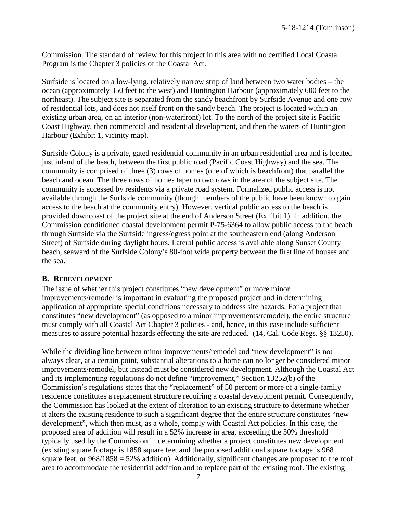Commission. The standard of review for this project in this area with no certified Local Coastal Program is the Chapter 3 policies of the Coastal Act.

Surfside is located on a low-lying, relatively narrow strip of land between two water bodies – the ocean (approximately 350 feet to the west) and Huntington Harbour (approximately 600 feet to the northeast). The subject site is separated from the sandy beachfront by Surfside Avenue and one row of residential lots, and does not itself front on the sandy beach. The project is located within an existing urban area, on an interior (non-waterfront) lot. To the north of the project site is Pacific Coast Highway, then commercial and residential development, and then the waters of Huntington Harbour (Exhibit 1, vicinity map).

Surfside Colony is a private, gated residential community in an urban residential area and is located just inland of the beach, between the first public road (Pacific Coast Highway) and the sea. The community is comprised of three (3) rows of homes (one of which is beachfront) that parallel the beach and ocean. The three rows of homes taper to two rows in the area of the subject site. The community is accessed by residents via a private road system. Formalized public access is not available through the Surfside community (though members of the public have been known to gain access to the beach at the community entry). However, vertical public access to the beach is provided downcoast of the project site at the end of Anderson Street (Exhibit 1). In addition, the Commission conditioned coastal development permit P-75-6364 to allow public access to the beach through Surfside via the Surfside ingress/egress point at the southeastern end (along Anderson Street) of Surfside during daylight hours. Lateral public access is available along Sunset County beach, seaward of the Surfside Colony's 80-foot wide property between the first line of houses and the sea.

#### <span id="page-6-0"></span>**B. REDEVELOPMENT**

The issue of whether this project constitutes "new development" or more minor improvements/remodel is important in evaluating the proposed project and in determining application of appropriate special conditions necessary to address site hazards. For a project that constitutes "new development" (as opposed to a minor improvements/remodel), the entire structure must comply with all Coastal Act Chapter 3 policies - and, hence, in this case include sufficient measures to assure potential hazards effecting the site are reduced. (14, Cal. Code Regs. §§ 13250).

While the dividing line between minor improvements/remodel and "new development" is not always clear, at a certain point, substantial alterations to a home can no longer be considered minor improvements/remodel, but instead must be considered new development. Although the Coastal Act and its implementing regulations do not define "improvement," Section 13252(b) of the Commission's regulations states that the "replacement" of 50 percent or more of a single-family residence constitutes a replacement structure requiring a coastal development permit. Consequently, the Commission has looked at the extent of alteration to an existing structure to determine whether it alters the existing residence to such a significant degree that the entire structure constitutes "new development", which then must, as a whole, comply with Coastal Act policies. In this case, the proposed area of addition will result in a 52% increase in area, exceeding the 50% threshold typically used by the Commission in determining whether a project constitutes new development (existing square footage is 1858 square feet and the proposed additional square footage is 968 square feet, or  $968/1858 = 52\%$  addition). Additionally, significant changes are proposed to the roof area to accommodate the residential addition and to replace part of the existing roof. The existing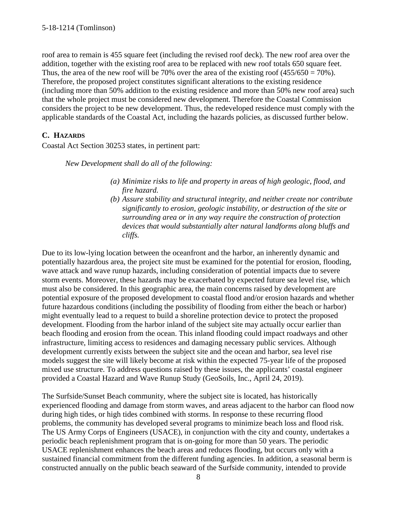roof area to remain is 455 square feet (including the revised roof deck). The new roof area over the addition, together with the existing roof area to be replaced with new roof totals 650 square feet. Thus, the area of the new roof will be 70% over the area of the existing roof  $(455/650 = 70\%)$ . Therefore, the proposed project constitutes significant alterations to the existing residence (including more than 50% addition to the existing residence and more than 50% new roof area) such that the whole project must be considered new development. Therefore the Coastal Commission considers the project to be new development. Thus, the redeveloped residence must comply with the applicable standards of the Coastal Act, including the hazards policies, as discussed further below.

### <span id="page-7-0"></span>**C. HAZARDS**

Coastal Act Section 30253 states, in pertinent part:

*New Development shall do all of the following:* 

- *(a) Minimize risks to life and property in areas of high geologic, flood, and fire hazard.*
- *(b) Assure stability and structural integrity, and neither create nor contribute significantly to erosion, geologic instability, or destruction of the site or surrounding area or in any way require the construction of protection devices that would substantially alter natural landforms along bluffs and cliffs.*

Due to its low-lying location between the oceanfront and the harbor, an inherently dynamic and potentially hazardous area, the project site must be examined for the potential for erosion, flooding, wave attack and wave runup hazards, including consideration of potential impacts due to severe storm events. Moreover, these hazards may be exacerbated by expected future sea level rise, which must also be considered. In this geographic area, the main concerns raised by development are potential exposure of the proposed development to coastal flood and/or erosion hazards and whether future hazardous conditions (including the possibility of flooding from either the beach or harbor) might eventually lead to a request to build a shoreline protection device to protect the proposed development. Flooding from the harbor inland of the subject site may actually occur earlier than beach flooding and erosion from the ocean. This inland flooding could impact roadways and other infrastructure, limiting access to residences and damaging necessary public services. Although development currently exists between the subject site and the ocean and harbor, sea level rise models suggest the site will likely become at risk within the expected 75-year life of the proposed mixed use structure. To address questions raised by these issues, the applicants' coastal engineer provided a Coastal Hazard and Wave Runup Study (GeoSoils, Inc., April 24, 2019).

The Surfside/Sunset Beach community, where the subject site is located, has historically experienced flooding and damage from storm waves, and areas adjacent to the harbor can flood now during high tides, or high tides combined with storms. In response to these recurring flood problems, the community has developed several programs to minimize beach loss and flood risk. The US Army Corps of Engineers (USACE), in conjunction with the city and county, undertakes a periodic beach replenishment program that is on-going for more than 50 years. The periodic USACE replenishment enhances the beach areas and reduces flooding, but occurs only with a sustained financial commitment from the different funding agencies. In addition, a seasonal berm is constructed annually on the public beach seaward of the Surfside community, intended to provide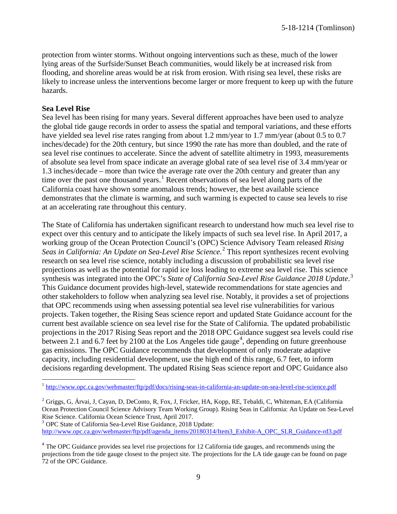protection from winter storms. Without ongoing interventions such as these, much of the lower lying areas of the Surfside/Sunset Beach communities, would likely be at increased risk from flooding, and shoreline areas would be at risk from erosion. With rising sea level, these risks are likely to increase unless the interventions become larger or more frequent to keep up with the future hazards.

#### **Sea Level Rise**

 $\overline{a}$ 

Sea level has been rising for many years. Several different approaches have been used to analyze the global tide gauge records in order to assess the spatial and temporal variations, and these efforts have yielded sea level rise rates ranging from about 1.2 mm/year to 1.7 mm/year (about 0.5 to 0.7 inches/decade) for the 20th century, but since 1990 the rate has more than doubled, and the rate of sea level rise continues to accelerate. Since the advent of satellite altimetry in 1993, measurements of absolute sea level from space indicate an average global rate of sea level rise of 3.4 mm/year or 1.3 inches/decade – more than twice the average rate over the 20th century and greater than any time over the past one thousand years.<sup>[1](#page-8-0)</sup> Recent observations of sea level along parts of the California coast have shown some anomalous trends; however, the best available science demonstrates that the climate is warming, and such warming is expected to cause sea levels to rise at an accelerating rate throughout this century.

The State of California has undertaken significant research to understand how much sea level rise to expect over this century and to anticipate the likely impacts of such sea level rise. In April 2017, a working group of the Ocean Protection Council's (OPC) Science Advisory Team released *Rising Seas in California: An Update on Sea-Level Rise Science*. [2](#page-8-1) This report synthesizes recent evolving research on sea level rise science, notably including a discussion of probabilistic sea level rise projections as well as the potential for rapid ice loss leading to extreme sea level rise. This science synthesis was integrated into the OPC's *State of California Sea-Level Rise Guidance 2018 Update*. [3](#page-8-2) This Guidance document provides high-level, statewide recommendations for state agencies and other stakeholders to follow when analyzing sea level rise. Notably, it provides a set of projections that OPC recommends using when assessing potential sea level rise vulnerabilities for various projects. Taken together, the Rising Seas science report and updated State Guidance account for the current best available science on sea level rise for the State of California. The updated probabilistic projections in the 2017 Rising Seas report and the 2018 OPC Guidance suggest sea levels could rise between 2.1 and 6.7 feet by 2100 at the Los Angeles tide gauge<sup>[4](#page-8-3)</sup>, depending on future greenhouse gas emissions. The OPC Guidance recommends that development of only moderate adaptive capacity, including residential development, use the high end of this range, 6.7 feet, to inform decisions regarding development. The updated Rising Seas science report and OPC Guidance also

<span id="page-8-2"></span>[http://www.opc.ca.gov/webmaster/ftp/pdf/agenda\\_items/20180314/Item3\\_Exhibit-A\\_OPC\\_SLR\\_Guidance-rd3.pdf](http://www.opc.ca.gov/webmaster/ftp/pdf/agenda_items/20180314/Item3_Exhibit-A_OPC_SLR_Guidance-rd3.pdf)

<span id="page-8-0"></span><sup>&</sup>lt;sup>1</sup> <http://www.opc.ca.gov/webmaster/ftp/pdf/docs/rising-seas-in-california-an-update-on-sea-level-rise-science.pdf>

<span id="page-8-1"></span> $2^2$  Griggs, G, Árvai, J, Cayan, D, DeConto, R, Fox, J, Fricker, HA, Kopp, RE, Tebaldi, C, Whiteman, EA (California) Ocean Protection Council Science Advisory Team Working Group). Rising Seas in California: An Update on Sea-Level Rise Science. California Ocean Science Trust, April 2017. <sup>3</sup> OPC State of California Sea-Level Rise Guidance, 2018 Update:

<span id="page-8-3"></span><sup>&</sup>lt;sup>4</sup> The OPC Guidance provides sea level rise projections for 12 California tide gauges, and recommends using the projections from the tide gauge closest to the project site. The projections for the LA tide gauge can be found on page 72 of the OPC Guidance.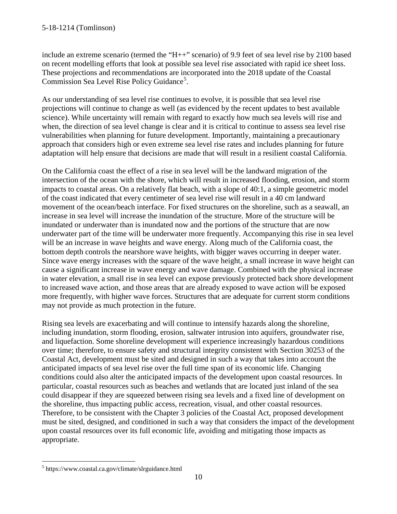include an extreme scenario (termed the "H++" scenario) of 9.9 feet of sea level rise by 2100 based on recent modelling efforts that look at possible sea level rise associated with rapid ice sheet loss. These projections and recommendations are incorporated into the 2018 update of the Coastal Commission Sea Level Rise Policy Guidance<sup>[5](#page-9-0)</sup>.

As our understanding of sea level rise continues to evolve, it is possible that sea level rise projections will continue to change as well (as evidenced by the recent updates to best available science). While uncertainty will remain with regard to exactly how much sea levels will rise and when, the direction of sea level change is clear and it is critical to continue to assess sea level rise vulnerabilities when planning for future development. Importantly, maintaining a precautionary approach that considers high or even extreme sea level rise rates and includes planning for future adaptation will help ensure that decisions are made that will result in a resilient coastal California.

On the California coast the effect of a rise in sea level will be the landward migration of the intersection of the ocean with the shore, which will result in increased flooding, erosion, and storm impacts to coastal areas. On a relatively flat beach, with a slope of 40:1, a simple geometric model of the coast indicated that every centimeter of sea level rise will result in a 40 cm landward movement of the ocean/beach interface. For fixed structures on the shoreline, such as a seawall, an increase in sea level will increase the inundation of the structure. More of the structure will be inundated or underwater than is inundated now and the portions of the structure that are now underwater part of the time will be underwater more frequently. Accompanying this rise in sea level will be an increase in wave heights and wave energy. Along much of the California coast, the bottom depth controls the nearshore wave heights, with bigger waves occurring in deeper water. Since wave energy increases with the square of the wave height, a small increase in wave height can cause a significant increase in wave energy and wave damage. Combined with the physical increase in water elevation, a small rise in sea level can expose previously protected back shore development to increased wave action, and those areas that are already exposed to wave action will be exposed more frequently, with higher wave forces. Structures that are adequate for current storm conditions may not provide as much protection in the future.

Rising sea levels are exacerbating and will continue to intensify hazards along the shoreline, including inundation, storm flooding, erosion, saltwater intrusion into aquifers, groundwater rise, and liquefaction. Some shoreline development will experience increasingly hazardous conditions over time; therefore, to ensure safety and structural integrity consistent with Section 30253 of the Coastal Act, development must be sited and designed in such a way that takes into account the anticipated impacts of sea level rise over the full time span of its economic life. Changing conditions could also alter the anticipated impacts of the development upon coastal resources. In particular, coastal resources such as beaches and wetlands that are located just inland of the sea could disappear if they are squeezed between rising sea levels and a fixed line of development on the shoreline, thus impacting public access, recreation, visual, and other coastal resources. Therefore, to be consistent with the Chapter 3 policies of the Coastal Act, proposed development must be sited, designed, and conditioned in such a way that considers the impact of the development upon coastal resources over its full economic life, avoiding and mitigating those impacts as appropriate.

<span id="page-9-0"></span> $\overline{a}$ <sup>5</sup> https://www.coastal.ca.gov/climate/slrguidance.html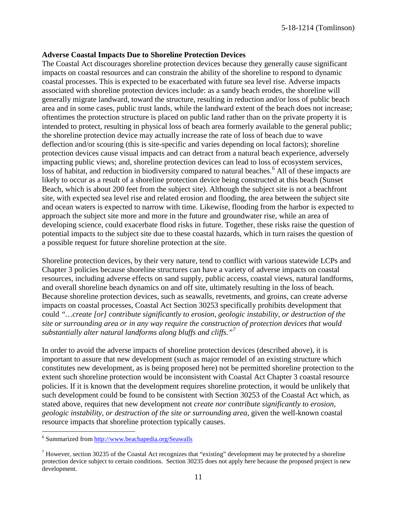#### **Adverse Coastal Impacts Due to Shoreline Protection Devices**

The Coastal Act discourages shoreline protection devices because they generally cause significant impacts on coastal resources and can constrain the ability of the shoreline to respond to dynamic coastal processes. This is expected to be exacerbated with future sea level rise. Adverse impacts associated with shoreline protection devices include: as a sandy beach erodes, the shoreline will generally migrate landward, toward the structure, resulting in reduction and/or loss of public beach area and in some cases, public trust lands, while the landward extent of the beach does not increase; oftentimes the protection structure is placed on public land rather than on the private property it is intended to protect, resulting in physical loss of beach area formerly available to the general public; the shoreline protection device may actually increase the rate of loss of beach due to wave deflection and/or scouring (this is site-specific and varies depending on local factors); shoreline protection devices cause visual impacts and can detract from a natural beach experience, adversely impacting public views; and, shoreline protection devices can lead to [loss of ecosystem services,](http://www.esajournals.org/doi/abs/10.1890/14-0716.1) [loss of habitat, and reduction in biodiversity](http://pubs.usgs.gov/sir/2010/5254/pdf/sir20105254_chap19.pdf) compared to natural beaches.<sup>[6](#page-10-0)</sup> All of these impacts are likely to occur as a result of a shoreline protection device being constructed at this beach (Sunset Beach, which is about 200 feet from the subject site). Although the subject site is not a beachfront site, with expected sea level rise and related erosion and flooding, the area between the subject site and ocean waters is expected to narrow with time. Likewise, flooding from the harbor is expected to approach the subject site more and more in the future and groundwater rise, while an area of developing science, could exacerbate flood risks in future. Together, these risks raise the question of potential impacts to the subject site due to these coastal hazards, which in turn raises the question of a possible request for future shoreline protection at the site.

Shoreline protection devices, by their very nature, tend to conflict with various statewide LCPs and Chapter 3 policies because shoreline structures can have a variety of adverse impacts on coastal resources, including adverse effects on sand supply, public access, coastal views, natural landforms, and overall shoreline beach dynamics on and off site, ultimately resulting in the loss of beach. Because shoreline protection devices, such as seawalls, revetments, and groins, can create adverse impacts on coastal processes, Coastal Act Section 30253 specifically prohibits development that could *"…create [or] contribute significantly to erosion, geologic instability, or destruction of the site or surrounding area or in any way require the construction of protection devices that would substantially alter natural landforms along bluffs and cliffs."[7](#page-10-1)*

In order to avoid the adverse impacts of shoreline protection devices (described above), it is important to assure that new development (such as major remodel of an existing structure which constitutes new development, as is being proposed here) not be permitted shoreline protection to the extent such shoreline protection would be inconsistent with Coastal Act Chapter 3 coastal resource policies. If it is known that the development requires shoreline protection, it would be unlikely that such development could be found to be consistent with Section 30253 of the Coastal Act which, as stated above, requires that new development not *create nor contribute significantly to erosion, geologic instability, or destruction of the site or surrounding area,* given the well-known coastal resource impacts that shoreline protection typically causes.

 $\overline{a}$ 

<span id="page-10-0"></span><sup>&</sup>lt;sup>6</sup> Summarized from http://www.beachapedia.org/Seawalls

<span id="page-10-1"></span> $<sup>7</sup>$  However, section 30235 of the Coastal Act recognizes that "existing" development may be protected by a shoreline</sup> protection device subject to certain conditions. Section 30235 does not apply here because the proposed project is new development.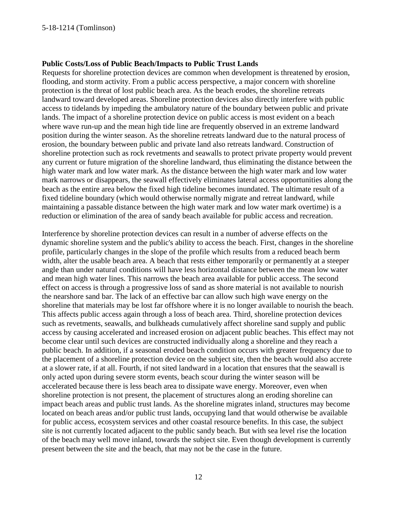#### **Public Costs/Loss of Public Beach/Impacts to Public Trust Lands**

Requests for shoreline protection devices are common when development is threatened by erosion, flooding, and storm activity. From a public access perspective, a major concern with shoreline protection is the threat of lost public beach area. As the beach erodes, the shoreline retreats landward toward developed areas. Shoreline protection devices also directly interfere with public access to tidelands by impeding the ambulatory nature of the boundary between public and private lands. The impact of a shoreline protection device on public access is most evident on a beach where wave run-up and the mean high tide line are frequently observed in an extreme landward position during the winter season. As the shoreline retreats landward due to the natural process of erosion, the boundary between public and private land also retreats landward. Construction of shoreline protection such as rock revetments and seawalls to protect private property would prevent any current or future migration of the shoreline landward, thus eliminating the distance between the high water mark and low water mark. As the distance between the high water mark and low water mark narrows or disappears, the seawall effectively eliminates lateral access opportunities along the beach as the entire area below the fixed high tideline becomes inundated. The ultimate result of a fixed tideline boundary (which would otherwise normally migrate and retreat landward, while maintaining a passable distance between the high water mark and low water mark overtime) is a reduction or elimination of the area of sandy beach available for public access and recreation.

Interference by shoreline protection devices can result in a number of adverse effects on the dynamic shoreline system and the public's ability to access the beach. First, changes in the shoreline profile, particularly changes in the slope of the profile which results from a reduced beach berm width, alter the usable beach area. A beach that rests either temporarily or permanently at a steeper angle than under natural conditions will have less horizontal distance between the mean low water and mean high water lines. This narrows the beach area available for public access. The second effect on access is through a progressive loss of sand as shore material is not available to nourish the nearshore sand bar. The lack of an effective bar can allow such high wave energy on the shoreline that materials may be lost far offshore where it is no longer available to nourish the beach. This affects public access again through a loss of beach area. Third, shoreline protection devices such as revetments, seawalls, and bulkheads cumulatively affect shoreline sand supply and public access by causing accelerated and increased erosion on adjacent public beaches. This effect may not become clear until such devices are constructed individually along a shoreline and they reach a public beach. In addition, if a seasonal eroded beach condition occurs with greater frequency due to the placement of a shoreline protection device on the subject site, then the beach would also accrete at a slower rate, if at all. Fourth, if not sited landward in a location that ensures that the seawall is only acted upon during severe storm events, beach scour during the winter season will be accelerated because there is less beach area to dissipate wave energy. Moreover, even when shoreline protection is not present, the placement of structures along an eroding shoreline can impact beach areas and public trust lands. As the shoreline migrates inland, structures may become located on beach areas and/or public trust lands, occupying land that would otherwise be available for public access, ecosystem services and other coastal resource benefits. In this case, the subject site is not currently located adjacent to the public sandy beach. But with sea level rise the location of the beach may well move inland, towards the subject site. Even though development is currently present between the site and the beach, that may not be the case in the future.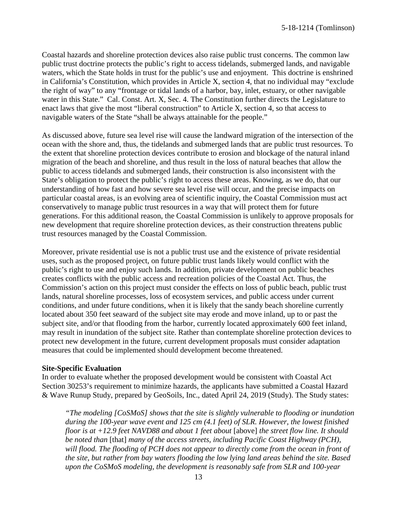Coastal hazards and shoreline protection devices also raise public trust concerns. The common law public trust doctrine protects the public's right to access tidelands, submerged lands, and navigable waters, which the State holds in trust for the public's use and enjoyment. This doctrine is enshrined in California's Constitution, which provides in Article X, section 4, that no individual may "exclude the right of way" to any "frontage or tidal lands of a harbor, bay, inlet, estuary, or other navigable water in this State." Cal. Const. Art. X, Sec. 4. The Constitution further directs the Legislature to enact laws that give the most "liberal construction" to Article X, section 4, so that access to navigable waters of the State "shall be always attainable for the people."

As discussed above, future sea level rise will cause the landward migration of the intersection of the ocean with the shore and, thus, the tidelands and submerged lands that are public trust resources. To the extent that shoreline protection devices contribute to erosion and blockage of the natural inland migration of the beach and shoreline, and thus result in the loss of natural beaches that allow the public to access tidelands and submerged lands, their construction is also inconsistent with the State's obligation to protect the public's right to access these areas. Knowing, as we do, that our understanding of how fast and how severe sea level rise will occur, and the precise impacts on particular coastal areas, is an evolving area of scientific inquiry, the Coastal Commission must act conservatively to manage public trust resources in a way that will protect them for future generations. For this additional reason, the Coastal Commission is unlikely to approve proposals for new development that require shoreline protection devices, as their construction threatens public trust resources managed by the Coastal Commission.

Moreover, private residential use is not a public trust use and the existence of private residential uses, such as the proposed project, on future public trust lands likely would conflict with the public's right to use and enjoy such lands. In addition, private development on public beaches creates conflicts with the public access and recreation policies of the Coastal Act. Thus, the Commission's action on this project must consider the effects on loss of public beach, public trust lands, natural shoreline processes, [loss of ecosystem services,](http://www.esajournals.org/doi/abs/10.1890/14-0716.1) and public access under current conditions, and under future conditions, when it is likely that the sandy beach shoreline currently located about 350 feet seaward of the subject site may erode and move inland, up to or past the subject site, and/or that flooding from the harbor, currently located approximately 600 feet inland, may result in inundation of the subject site. Rather than contemplate shoreline protection devices to protect new development in the future, current development proposals must consider adaptation measures that could be implemented should development become threatened.

#### **Site-Specific Evaluation**

In order to evaluate whether the proposed development would be consistent with Coastal Act Section 30253's requirement to minimize hazards, the applicants have submitted a Coastal Hazard & Wave Runup Study, prepared by GeoSoils, Inc., dated April 24, 2019 (Study). The Study states:

*"The modeling [CoSMoS] shows that the site is slightly vulnerable to flooding or inundation during the 100-year wave event and 125 cm (4.1 feet) of SLR. However, the lowest finished floor is at +12.9 feet NAVD88 and about 1 feet about* [above] *the street flow line. It should be noted than* [that] *many of the access streets, including Pacific Coast Highway (PCH), will flood. The flooding of PCH does not appear to directly come from the ocean in front of the site, but rather from bay waters flooding the low lying land areas behind the site. Based upon the CoSMoS modeling, the development is reasonably safe from SLR and 100-year*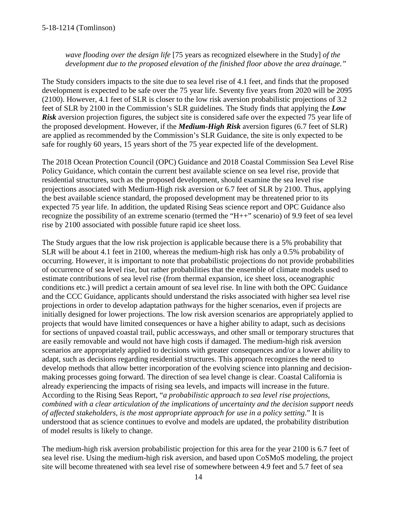*wave flooding over the design life* [75 years as recognized elsewhere in the Study] *of the development due to the proposed elevation of the finished floor above the area drainage."* 

The Study considers impacts to the site due to sea level rise of 4.1 feet, and finds that the proposed development is expected to be safe over the 75 year life. Seventy five years from 2020 will be 2095 (2100). However, 4.1 feet of SLR is closer to the low risk aversion probabilistic projections of 3.2 feet of SLR by 2100 in the Commission's SLR guidelines. The Study finds that applying the *Low Risk* aversion projection figures, the subject site is considered safe over the expected 75 year life of the proposed development. However, if the *Medium-High Risk* aversion figures (6.7 feet of SLR) are applied as recommended by the Commission's SLR Guidance, the site is only expected to be safe for roughly 60 years, 15 years short of the 75 year expected life of the development.

The 2018 Ocean Protection Council (OPC) Guidance and 2018 Coastal Commission Sea Level Rise Policy Guidance, which contain the current best available science on sea level rise, provide that residential structures, such as the proposed development, should examine the sea level rise projections associated with Medium-High risk aversion or 6.7 feet of SLR by 2100. Thus, applying the best available science standard, the proposed development may be threatened prior to its expected 75 year life. In addition, the updated Rising Seas science report and OPC Guidance also recognize the possibility of an extreme scenario (termed the "H++" scenario) of 9.9 feet of sea level rise by 2100 associated with possible future rapid ice sheet loss.

The Study argues that the low risk projection is applicable because there is a 5% probability that SLR will be about 4.1 feet in 2100, whereas the medium-high risk has only a 0.5% probability of occurring. However, it is important to note that probabilistic projections do not provide probabilities of occurrence of sea level rise, but rather probabilities that the ensemble of climate models used to estimate contributions of sea level rise (from thermal expansion, ice sheet loss, oceanographic conditions etc.) will predict a certain amount of sea level rise. In line with both the OPC Guidance and the CCC Guidance, applicants should understand the risks associated with higher sea level rise projections in order to develop adaptation pathways for the higher scenarios, even if projects are initially designed for lower projections. The low risk aversion scenarios are appropriately applied to projects that would have limited consequences or have a higher ability to adapt, such as decisions for sections of unpaved coastal trail, public accessways, and other small or temporary structures that are easily removable and would not have high costs if damaged. The medium-high risk aversion scenarios are appropriately applied to decisions with greater consequences and/or a lower ability to adapt, such as decisions regarding residential structures. This approach recognizes the need to develop methods that allow better incorporation of the evolving science into planning and decisionmaking processes going forward. The direction of sea level change is clear. Coastal California is already experiencing the impacts of rising sea levels, and impacts will increase in the future. According to the Rising Seas Report, "*a probabilistic approach to sea level rise projections, combined with a clear articulation of the implications of uncertainty and the decision support needs of affected stakeholders, is the most appropriate approach for use in a policy setting*." It is understood that as science continues to evolve and models are updated, the probability distribution of model results is likely to change.

The medium-high risk aversion probabilistic projection for this area for the year 2100 is 6.7 feet of sea level rise. Using the medium-high risk aversion, and based upon CoSMoS modeling, the project site will become threatened with sea level rise of somewhere between 4.9 feet and 5.7 feet of sea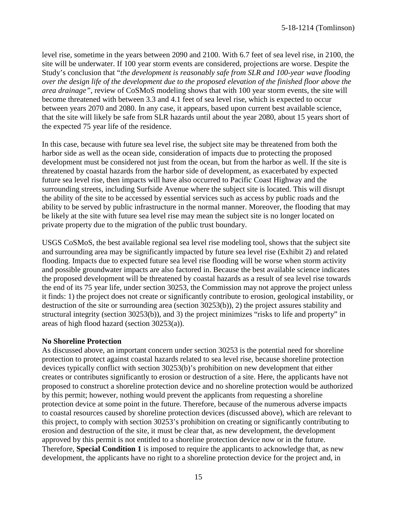level rise, sometime in the years between 2090 and 2100. With 6.7 feet of sea level rise, in 2100, the site will be underwater. If 100 year storm events are considered, projections are worse. Despite the Study's conclusion that "*the development is reasonably safe from SLR and 100-year wave flooding over the design life of the development due to the proposed elevation of the finished floor above the area drainage"*, review of CoSMoS modeling shows that with 100 year storm events, the site will become threatened with between 3.3 and 4.1 feet of sea level rise, which is expected to occur between years 2070 and 2080. In any case, it appears, based upon current best available science, that the site will likely be safe from SLR hazards until about the year 2080, about 15 years short of the expected 75 year life of the residence.

In this case, because with future sea level rise, the subject site may be threatened from both the harbor side as well as the ocean side, consideration of impacts due to protecting the proposed development must be considered not just from the ocean, but from the harbor as well. If the site is threatened by coastal hazards from the harbor side of development, as exacerbated by expected future sea level rise, then impacts will have also occurred to Pacific Coast Highway and the surrounding streets, including Surfside Avenue where the subject site is located. This will disrupt the ability of the site to be accessed by essential services such as access by public roads and the ability to be served by public infrastructure in the normal manner. Moreover, the flooding that may be likely at the site with future sea level rise may mean the subject site is no longer located on private property due to the migration of the public trust boundary.

USGS CoSMoS, the best available regional sea level rise modeling tool, shows that the subject site and surrounding area may be significantly impacted by future sea level rise (Exhibit 2) and related flooding. Impacts due to expected future sea level rise flooding will be worse when storm activity and possible groundwater impacts are also factored in. Because the best available science indicates the proposed development will be threatened by coastal hazards as a result of sea level rise towards the end of its 75 year life, under section 30253, the Commission may not approve the project unless it finds: 1) the project does not create or significantly contribute to erosion, geological instability, or destruction of the site or surrounding area (section 30253(b)), 2) the project assures stability and structural integrity (section 30253(b)), and 3) the project minimizes "risks to life and property" in areas of high flood hazard (section 30253(a)).

#### **No Shoreline Protection**

As discussed above, an important concern under section 30253 is the potential need for shoreline protection to protect against coastal hazards related to sea level rise, because shoreline protection devices typically conflict with section 30253(b)'s prohibition on new development that either creates or contributes significantly to erosion or destruction of a site. Here, the applicants have not proposed to construct a shoreline protection device and no shoreline protection would be authorized by this permit; however, nothing would prevent the applicants from requesting a shoreline protection device at some point in the future. Therefore, because of the numerous adverse impacts to coastal resources caused by shoreline protection devices (discussed above), which are relevant to this project, to comply with section 30253's prohibition on creating or significantly contributing to erosion and destruction of the site, it must be clear that, as new development, the development approved by this permit is not entitled to a shoreline protection device now or in the future. Therefore, **Special Condition 1** is imposed to require the applicants to acknowledge that, as new development, the applicants have no right to a shoreline protection device for the project and, in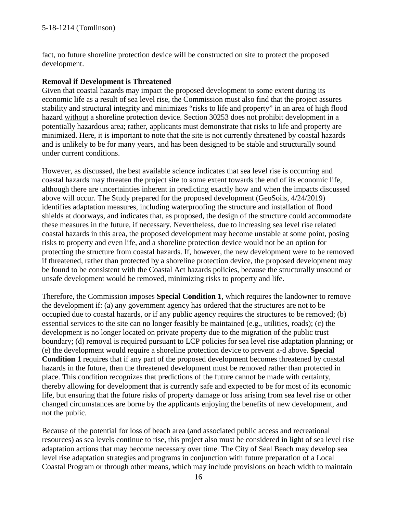fact, no future shoreline protection device will be constructed on site to protect the proposed development.

#### **Removal if Development is Threatened**

Given that coastal hazards may impact the proposed development to some extent during its economic life as a result of sea level rise, the Commission must also find that the project assures stability and structural integrity and minimizes "risks to life and property" in an area of high flood hazard without a shoreline protection device. Section 30253 does not prohibit development in a potentially hazardous area; rather, applicants must demonstrate that risks to life and property are minimized. Here, it is important to note that the site is not currently threatened by coastal hazards and is unlikely to be for many years, and has been designed to be stable and structurally sound under current conditions.

However, as discussed, the best available science indicates that sea level rise is occurring and coastal hazards may threaten the project site to some extent towards the end of its economic life, although there are uncertainties inherent in predicting exactly how and when the impacts discussed above will occur. The Study prepared for the proposed development (GeoSoils, 4/24/2019) identifies adaptation measures, including waterproofing the structure and installation of flood shields at doorways, and indicates that, as proposed, the design of the structure could accommodate these measures in the future, if necessary. Nevertheless, due to increasing sea level rise related coastal hazards in this area, the proposed development may become unstable at some point, posing risks to property and even life, and a shoreline protection device would not be an option for protecting the structure from coastal hazards. If, however, the new development were to be removed if threatened, rather than protected by a shoreline protection device, the proposed development may be found to be consistent with the Coastal Act hazards policies, because the structurally unsound or unsafe development would be removed, minimizing risks to property and life.

Therefore, the Commission imposes **Special Condition 1**, which requires the landowner to remove the development if: (a) any government agency has ordered that the structures are not to be occupied due to coastal hazards, or if any public agency requires the structures to be removed; (b) essential services to the site can no longer feasibly be maintained (e.g., utilities, roads); (c) the development is no longer located on private property due to the migration of the public trust boundary; (d) removal is required pursuant to LCP policies for sea level rise adaptation planning; or (e) the development would require a shoreline protection device to prevent a-d above. **Special Condition 1** requires that if any part of the proposed development becomes threatened by coastal hazards in the future, then the threatened development must be removed rather than protected in place. This condition recognizes that predictions of the future cannot be made with certainty, thereby allowing for development that is currently safe and expected to be for most of its economic life, but ensuring that the future risks of property damage or loss arising from sea level rise or other changed circumstances are borne by the applicants enjoying the benefits of new development, and not the public.

Because of the potential for loss of beach area (and associated public access and recreational resources) as sea levels continue to rise, this project also must be considered in light of sea level rise adaptation actions that may become necessary over time. The City of Seal Beach may develop sea level rise adaptation strategies and programs in conjunction with future preparation of a Local Coastal Program or through other means, which may include provisions on beach width to maintain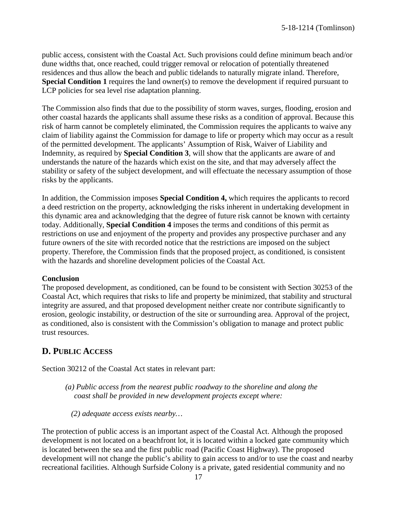public access, consistent with the Coastal Act. Such provisions could define minimum beach and/or dune widths that, once reached, could trigger removal or relocation of potentially threatened residences and thus allow the beach and public tidelands to naturally migrate inland. Therefore, **Special Condition 1** requires the land owner(s) to remove the development if required pursuant to LCP policies for sea level rise adaptation planning.

The Commission also finds that due to the possibility of storm waves, surges, flooding, erosion and other coastal hazards the applicants shall assume these risks as a condition of approval. Because this risk of harm cannot be completely eliminated, the Commission requires the applicants to waive any claim of liability against the Commission for damage to life or property which may occur as a result of the permitted development. The applicants' Assumption of Risk, Waiver of Liability and Indemnity, as required by **Special Condition 3**, will show that the applicants are aware of and understands the nature of the hazards which exist on the site, and that may adversely affect the stability or safety of the subject development, and will effectuate the necessary assumption of those risks by the applicants.

In addition, the Commission imposes **Special Condition 4,** which requires the applicants to record a deed restriction on the property, acknowledging the risks inherent in undertaking development in this dynamic area and acknowledging that the degree of future risk cannot be known with certainty today. Additionally, **Special Condition 4** imposes the terms and conditions of this permit as restrictions on use and enjoyment of the property and provides any prospective purchaser and any future owners of the site with recorded notice that the restrictions are imposed on the subject property. Therefore, the Commission finds that the proposed project, as conditioned, is consistent with the hazards and shoreline development policies of the Coastal Act.

#### **Conclusion**

The proposed development, as conditioned, can be found to be consistent with Section 30253 of the Coastal Act, which requires that risks to life and property be minimized, that stability and structural integrity are assured, and that proposed development neither create nor contribute significantly to erosion, geologic instability, or destruction of the site or surrounding area. Approval of the project, as conditioned, also is consistent with the Commission's obligation to manage and protect public trust resources.

## **D. PUBLIC ACCESS**

Section 30212 of the Coastal Act states in relevant part:

*(a) Public access from the nearest public roadway to the shoreline and along the coast shall be provided in new development projects except where:* 

*(2) adequate access exists nearby…* 

The protection of public access is an important aspect of the Coastal Act. Although the proposed development is not located on a beachfront lot, it is located within a locked gate community which is located between the sea and the first public road (Pacific Coast Highway). The proposed development will not change the public's ability to gain access to and/or to use the coast and nearby recreational facilities. Although Surfside Colony is a private, gated residential community and no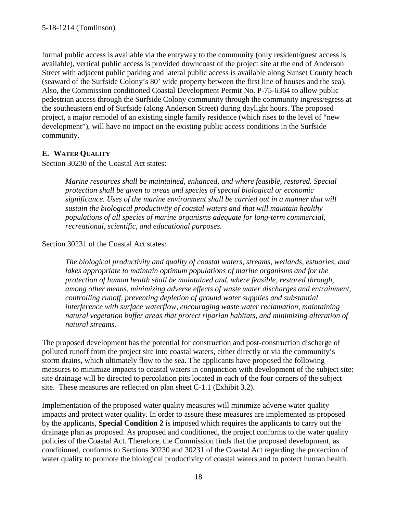formal public access is available via the entryway to the community (only resident/guest access is available), vertical public access is provided downcoast of the project site at the end of Anderson Street with adjacent public parking and lateral public access is available along Sunset County beach (seaward of the Surfside Colony's 80' wide property between the first line of houses and the sea). Also, the Commission conditioned Coastal Development Permit No. P-75-6364 to allow public pedestrian access through the Surfside Colony community through the community ingress/egress at the southeastern end of Surfside (along Anderson Street) during daylight hours. The proposed project, a major remodel of an existing single family residence (which rises to the level of "new development"), will have no impact on the existing public access conditions in the Surfside community.

### <span id="page-17-0"></span>**E. WATER QUALITY**

Section 30230 of the Coastal Act states:

*Marine resources shall be maintained, enhanced, and where feasible, restored. Special protection shall be given to areas and species of special biological or economic significance. Uses of the marine environment shall be carried out in a manner that will sustain the biological productivity of coastal waters and that will maintain healthy populations of all species of marine organisms adequate for long-term commercial, recreational, scientific, and educational purposes.* 

#### Section 30231 of the Coastal Act states:

*The biological productivity and quality of coastal waters, streams, wetlands, estuaries, and lakes appropriate to maintain optimum populations of marine organisms and for the protection of human health shall be maintained and, where feasible, restored through, among other means, minimizing adverse effects of waste water discharges and entrainment, controlling runoff, preventing depletion of ground water supplies and substantial interference with surface waterflow, encouraging waste water reclamation, maintaining natural vegetation buffer areas that protect riparian habitats, and minimizing alteration of natural streams.* 

The proposed development has the potential for construction and post-construction discharge of polluted runoff from the project site into coastal waters, either directly or via the community's storm drains, which ultimately flow to the sea. The applicants have proposed the following measures to minimize impacts to coastal waters in conjunction with development of the subject site: site drainage will be directed to percolation pits located in each of the four corners of the subject site. These measures are reflected on plan sheet C-1.1 (Exhibit 3.2).

Implementation of the proposed water quality measures will minimize adverse water quality impacts and protect water quality. In order to assure these measures are implemented as proposed by the applicants, **Special Condition 2** is imposed which requires the applicants to carry out the drainage plan as proposed. As proposed and conditioned, the project conforms to the water quality policies of the Coastal Act. Therefore, the Commission finds that the proposed development, as conditioned, conforms to Sections 30230 and 30231 of the Coastal Act regarding the protection of water quality to promote the biological productivity of coastal waters and to protect human health.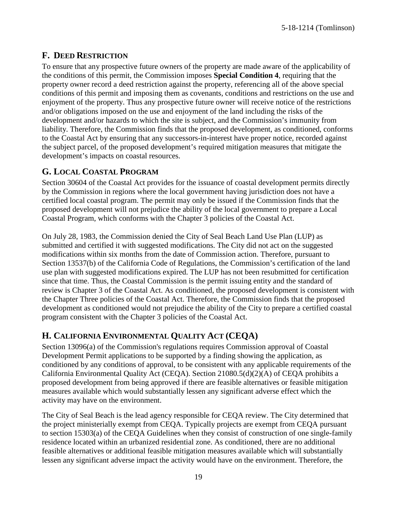5-18-1214 (Tomlinson)

## <span id="page-18-0"></span>**F. DEED RESTRICTION**

To ensure that any prospective future owners of the property are made aware of the applicability of the conditions of this permit, the Commission imposes **Special Condition 4**, requiring that the property owner record a deed restriction against the property, referencing all of the above special conditions of this permit and imposing them as covenants, conditions and restrictions on the use and enjoyment of the property. Thus any prospective future owner will receive notice of the restrictions and/or obligations imposed on the use and enjoyment of the land including the risks of the development and/or hazards to which the site is subject, and the Commission's immunity from liability. Therefore, the Commission finds that the proposed development, as conditioned, conforms to the Coastal Act by ensuring that any successors-in-interest have proper notice, recorded against the subject parcel, of the proposed development's required mitigation measures that mitigate the development's impacts on coastal resources.

## <span id="page-18-1"></span>**G. LOCAL COASTAL PROGRAM**

Section 30604 of the Coastal Act provides for the issuance of coastal development permits directly by the Commission in regions where the local government having jurisdiction does not have a certified local coastal program. The permit may only be issued if the Commission finds that the proposed development will not prejudice the ability of the local government to prepare a Local Coastal Program, which conforms with the Chapter 3 policies of the Coastal Act.

On July 28, 1983, the Commission denied the City of Seal Beach Land Use Plan (LUP) as submitted and certified it with suggested modifications. The City did not act on the suggested modifications within six months from the date of Commission action. Therefore, pursuant to Section 13537(b) of the California Code of Regulations, the Commission's certification of the land use plan with suggested modifications expired. The LUP has not been resubmitted for certification since that time. Thus, the Coastal Commission is the permit issuing entity and the standard of review is Chapter 3 of the Coastal Act. As conditioned, the proposed development is consistent with the Chapter Three policies of the Coastal Act. Therefore, the Commission finds that the proposed development as conditioned would not prejudice the ability of the City to prepare a certified coastal program consistent with the Chapter 3 policies of the Coastal Act.

## <span id="page-18-2"></span>**H. CALIFORNIA ENVIRONMENTAL QUALITY ACT (CEQA)**

Section 13096(a) of the Commission's regulations requires Commission approval of Coastal Development Permit applications to be supported by a finding showing the application, as conditioned by any conditions of approval, to be consistent with any applicable requirements of the California Environmental Quality Act (CEQA). Section 21080.5(d)(2)(A) of CEQA prohibits a proposed development from being approved if there are feasible alternatives or feasible mitigation measures available which would substantially lessen any significant adverse effect which the activity may have on the environment.

The City of Seal Beach is the lead agency responsible for CEQA review. The City determined that the project ministerially exempt from CEQA. Typically projects are exempt from CEQA pursuant to section 15303(a) of the CEQA Guidelines when they consist of construction of one single-family residence located within an urbanized residential zone. As conditioned, there are no additional feasible alternatives or additional feasible mitigation measures available which will substantially lessen any significant adverse impact the activity would have on the environment. Therefore, the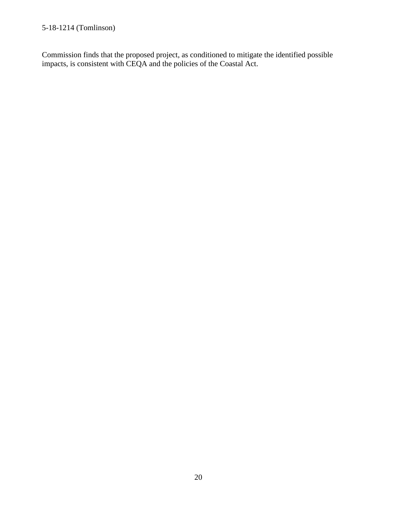Commission finds that the proposed project, as conditioned to mitigate the identified possible impacts, is consistent with CEQA and the policies of the Coastal Act.